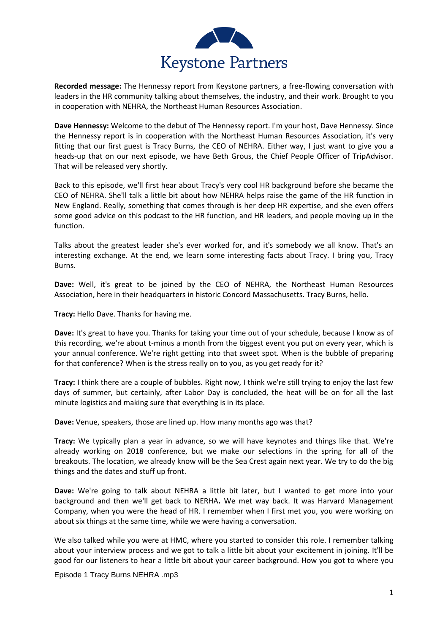

**Recorded message:** The Hennessy report from Keystone partners, a free-flowing conversation with leaders in the HR community talking about themselves, the industry, and their work. Brought to you in cooperation with NEHRA, the Northeast Human Resources Association.

**Dave Hennessy:** Welcome to the debut of The Hennessy report. I'm your host, Dave Hennessy. Since the Hennessy report is in cooperation with the Northeast Human Resources Association, it's very fitting that our first guest is Tracy Burns, the CEO of NEHRA. Either way, I just want to give you a heads-up that on our next episode, we have Beth Grous, the Chief People Officer of TripAdvisor. That will be released very shortly.

Back to this episode, we'll first hear about Tracy's very cool HR background before she became the CEO of NEHRA. She'll talk a little bit about how NEHRA helps raise the game of the HR function in New England. Really, something that comes through is her deep HR expertise, and she even offers some good advice on this podcast to the HR function, and HR leaders, and people moving up in the function.

Talks about the greatest leader she's ever worked for, and it's somebody we all know. That's an interesting exchange. At the end, we learn some interesting facts about Tracy. I bring you, Tracy Burns.

**Dave:** Well, it's great to be joined by the CEO of NEHRA, the Northeast Human Resources Association, here in their headquarters in historic Concord Massachusetts. Tracy Burns, hello.

**Tracy:** Hello Dave. Thanks for having me.

**Dave:** It's great to have you. Thanks for taking your time out of your schedule, because I know as of this recording, we're about t-minus a month from the biggest event you put on every year, which is your annual conference. We're right getting into that sweet spot. When is the bubble of preparing for that conference? When is the stress really on to you, as you get ready for it?

**Tracy:** I think there are a couple of bubbles. Right now, I think we're still trying to enjoy the last few days of summer, but certainly, after Labor Day is concluded, the heat will be on for all the last minute logistics and making sure that everything is in its place.

**Dave:** Venue, speakers, those are lined up. How many months ago was that?

**Tracy:** We typically plan a year in advance, so we will have keynotes and things like that. We're already working on 2018 conference, but we make our selections in the spring for all of the breakouts. The location, we already know will be the Sea Crest again next year. We try to do the big things and the dates and stuff up front.

**Dave:** We're going to talk about NEHRA a little bit later, but I wanted to get more into your background and then we'll get back to NERHA**.** We met way back. It was Harvard Management Company, when you were the head of HR. I remember when I first met you, you were working on about six things at the same time, while we were having a conversation.

We also talked while you were at HMC, where you started to consider this role. I remember talking about your interview process and we got to talk a little bit about your excitement in joining. It'll be good for our listeners to hear a little bit about your career background. How you got to where you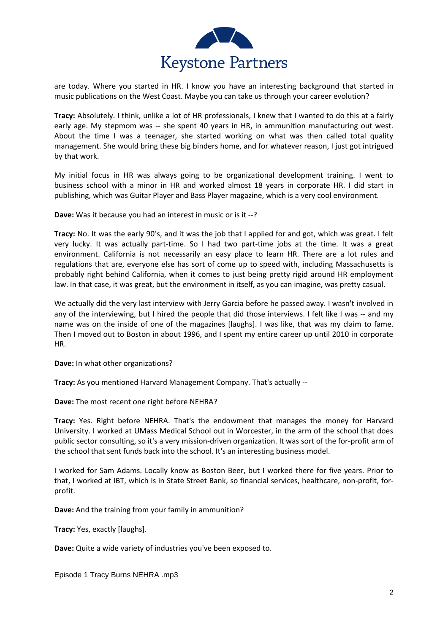

are today. Where you started in HR. I know you have an interesting background that started in music publications on the West Coast. Maybe you can take us through your career evolution?

**Tracy:** Absolutely. I think, unlike a lot of HR professionals, I knew that I wanted to do this at a fairly early age. My stepmom was -- she spent 40 years in HR, in ammunition manufacturing out west. About the time I was a teenager, she started working on what was then called total quality management. She would bring these big binders home, and for whatever reason, I just got intrigued by that work.

My initial focus in HR was always going to be organizational development training. I went to business school with a minor in HR and worked almost 18 years in corporate HR. I did start in publishing, which was Guitar Player and Bass Player magazine, which is a very cool environment.

**Dave:** Was it because you had an interest in music or is it --?

**Tracy:** No. It was the early 90's, and it was the job that I applied for and got, which was great. I felt very lucky. It was actually part-time. So I had two part-time jobs at the time. It was a great environment. California is not necessarily an easy place to learn HR. There are a lot rules and regulations that are, everyone else has sort of come up to speed with, including Massachusetts is probably right behind California, when it comes to just being pretty rigid around HR employment law. In that case, it was great, but the environment in itself, as you can imagine, was pretty casual.

We actually did the very last interview with Jerry Garcia before he passed away. I wasn't involved in any of the interviewing, but I hired the people that did those interviews. I felt like I was -- and my name was on the inside of one of the magazines [laughs]. I was like, that was my claim to fame. Then I moved out to Boston in about 1996, and I spent my entire career up until 2010 in corporate HR.

**Dave:** In what other organizations?

**Tracy:** As you mentioned Harvard Management Company. That's actually --

**Dave:** The most recent one right before NEHRA?

**Tracy:** Yes. Right before NEHRA. That's the endowment that manages the money for Harvard University. I worked at UMass Medical School out in Worcester, in the arm of the school that does public sector consulting, so it's a very mission-driven organization. It was sort of the for-profit arm of the school that sent funds back into the school. It's an interesting business model.

I worked for Sam Adams. Locally know as Boston Beer, but I worked there for five years. Prior to that, I worked at IBT, which is in State Street Bank, so financial services, healthcare, non-profit, forprofit.

**Dave:** And the training from your family in ammunition?

**Tracy:** Yes, exactly [laughs].

**Dave:** Quite a wide variety of industries you've been exposed to.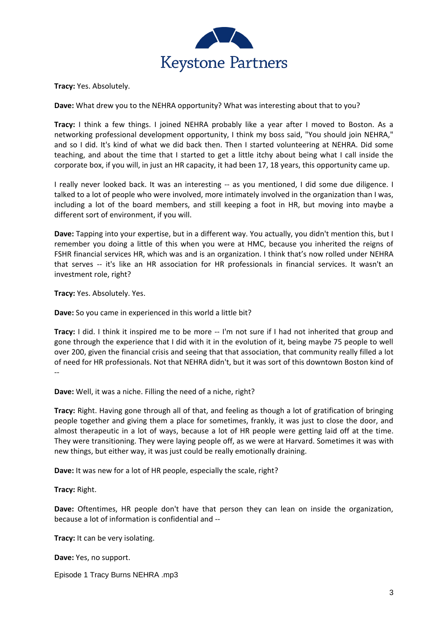

**Tracy:** Yes. Absolutely.

**Dave:** What drew you to the NEHRA opportunity? What was interesting about that to you?

**Tracy:** I think a few things. I joined NEHRA probably like a year after I moved to Boston. As a networking professional development opportunity, I think my boss said, "You should join NEHRA," and so I did. It's kind of what we did back then. Then I started volunteering at NEHRA. Did some teaching, and about the time that I started to get a little itchy about being what I call inside the corporate box, if you will, in just an HR capacity, it had been 17, 18 years, this opportunity came up.

I really never looked back. It was an interesting -- as you mentioned, I did some due diligence. I talked to a lot of people who were involved, more intimately involved in the organization than I was, including a lot of the board members, and still keeping a foot in HR, but moving into maybe a different sort of environment, if you will.

**Dave:** Tapping into your expertise, but in a different way. You actually, you didn't mention this, but I remember you doing a little of this when you were at HMC, because you inherited the reigns of FSHR financial services HR, which was and is an organization. I think that's now rolled under NEHRA that serves -- it's like an HR association for HR professionals in financial services. It wasn't an investment role, right?

**Tracy:** Yes. Absolutely. Yes.

**Dave:** So you came in experienced in this world a little bit?

**Tracy:** I did. I think it inspired me to be more -- I'm not sure if I had not inherited that group and gone through the experience that I did with it in the evolution of it, being maybe 75 people to well over 200, given the financial crisis and seeing that that association, that community really filled a lot of need for HR professionals. Not that NEHRA didn't, but it was sort of this downtown Boston kind of --

**Dave:** Well, it was a niche. Filling the need of a niche, right?

**Tracy:** Right. Having gone through all of that, and feeling as though a lot of gratification of bringing people together and giving them a place for sometimes, frankly, it was just to close the door, and almost therapeutic in a lot of ways, because a lot of HR people were getting laid off at the time. They were transitioning. They were laying people off, as we were at Harvard. Sometimes it was with new things, but either way, it was just could be really emotionally draining.

**Dave:** It was new for a lot of HR people, especially the scale, right?

**Tracy:** Right.

**Dave:** Oftentimes, HR people don't have that person they can lean on inside the organization, because a lot of information is confidential and --

**Tracy:** It can be very isolating.

**Dave:** Yes, no support.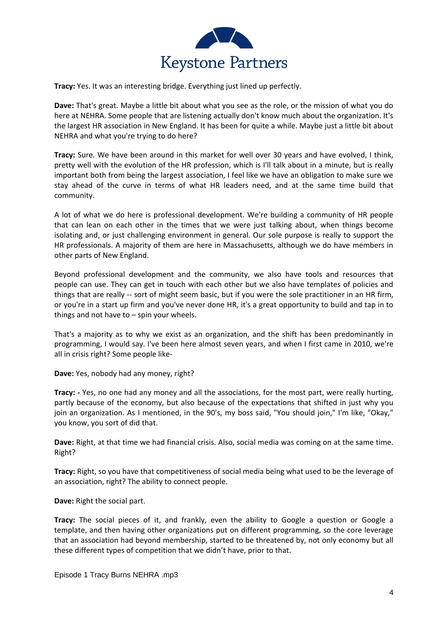

**Tracy:** Yes. It was an interesting bridge. Everything just lined up perfectly.

**Dave:** That's great. Maybe a little bit about what you see as the role, or the mission of what you do here at NEHRA. Some people that are listening actually don't know much about the organization. It's the largest HR association in New England. It has been for quite a while. Maybe just a little bit about NEHRA and what you're trying to do here?

**Tracy:** Sure. We have been around in this market for well over 30 years and have evolved, I think, pretty well with the evolution of the HR profession, which is I'll talk about in a minute, but is really important both from being the largest association, I feel like we have an obligation to make sure we stay ahead of the curve in terms of what HR leaders need, and at the same time build that community.

A lot of what we do here is professional development. We're building a community of HR people that can lean on each other in the times that we were just talking about, when things become isolating and, or just challenging environment in general. Our sole purpose is really to support the HR professionals. A majority of them are here in Massachusetts, although we do have members in other parts of New England.

Beyond professional development and the community, we also have tools and resources that people can use. They can get in touch with each other but we also have templates of policies and things that are really -- sort of might seem basic, but if you were the sole practitioner in an HR firm, or you're in a start up firm and you've never done HR, it's a great opportunity to build and tap in to things and not have to  $-$  spin your wheels.

That's a majority as to why we exist as an organization, and the shift has been predominantly in programming, I would say. I've been here almost seven years, and when I first came in 2010, we're all in crisis right? Some people like-

**Dave:** Yes, nobody had any money, right?

**Tracy: -** Yes, no one had any money and all the associations, for the most part, were really hurting, partly because of the economy, but also because of the expectations that shifted in just why you join an organization. As I mentioned, in the 90's, my boss said, "You should join," I'm like, "Okay," you know, you sort of did that.

**Dave:** Right, at that time we had financial crisis. Also, social media was coming on at the same time. Right?

**Tracy:** Right, so you have that competitiveness of social media being what used to be the leverage of an association, right? The ability to connect people.

**Dave:** Right the social part.

**Tracy:** The social pieces of it, and frankly, even the ability to Google a question or Google a template, and then having other organizations put on different programming, so the core leverage that an association had beyond membership, started to be threatened by, not only economy but all these different types of competition that we didn't have, prior to that.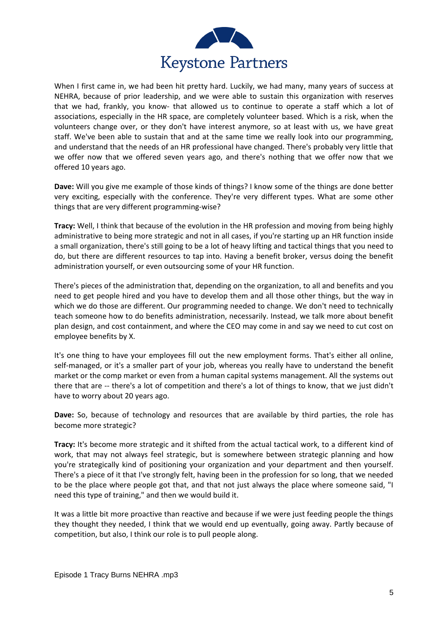

When I first came in, we had been hit pretty hard. Luckily, we had many, many years of success at NEHRA, because of prior leadership, and we were able to sustain this organization with reserves that we had, frankly, you know- that allowed us to continue to operate a staff which a lot of associations, especially in the HR space, are completely volunteer based. Which is a risk, when the volunteers change over, or they don't have interest anymore, so at least with us, we have great staff. We've been able to sustain that and at the same time we really look into our programming, and understand that the needs of an HR professional have changed. There's probably very little that we offer now that we offered seven years ago, and there's nothing that we offer now that we offered 10 years ago.

**Dave:** Will you give me example of those kinds of things? I know some of the things are done better very exciting, especially with the conference. They're very different types. What are some other things that are very different programming-wise?

**Tracy:** Well, I think that because of the evolution in the HR profession and moving from being highly administrative to being more strategic and not in all cases, if you're starting up an HR function inside a small organization, there's still going to be a lot of heavy lifting and tactical things that you need to do, but there are different resources to tap into. Having a benefit broker, versus doing the benefit administration yourself, or even outsourcing some of your HR function.

There's pieces of the administration that, depending on the organization, to all and benefits and you need to get people hired and you have to develop them and all those other things, but the way in which we do those are different. Our programming needed to change. We don't need to technically teach someone how to do benefits administration, necessarily. Instead, we talk more about benefit plan design, and cost containment, and where the CEO may come in and say we need to cut cost on employee benefits by X.

It's one thing to have your employees fill out the new employment forms. That's either all online, self-managed, or it's a smaller part of your job, whereas you really have to understand the benefit market or the comp market or even from a human capital systems management. All the systems out there that are -- there's a lot of competition and there's a lot of things to know, that we just didn't have to worry about 20 years ago.

**Dave:** So, because of technology and resources that are available by third parties, the role has become more strategic?

**Tracy:** It's become more strategic and it shifted from the actual tactical work, to a different kind of work, that may not always feel strategic, but is somewhere between strategic planning and how you're strategically kind of positioning your organization and your department and then yourself. There's a piece of it that I've strongly felt, having been in the profession for so long, that we needed to be the place where people got that, and that not just always the place where someone said, "I need this type of training," and then we would build it.

It was a little bit more proactive than reactive and because if we were just feeding people the things they thought they needed, I think that we would end up eventually, going away. Partly because of competition, but also, I think our role is to pull people along.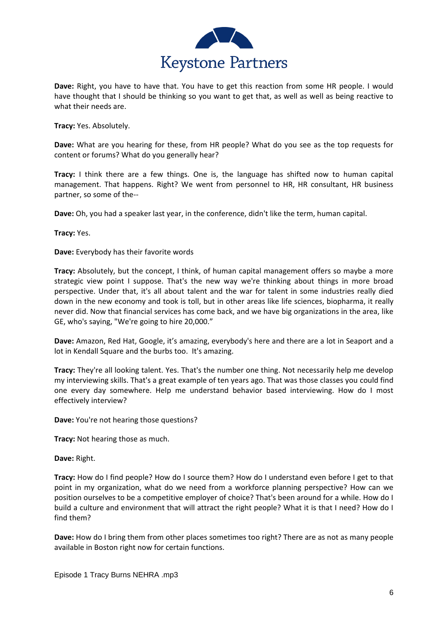

**Dave:** Right, you have to have that. You have to get this reaction from some HR people. I would have thought that I should be thinking so you want to get that, as well as well as being reactive to what their needs are.

**Tracy:** Yes. Absolutely.

**Dave:** What are you hearing for these, from HR people? What do you see as the top requests for content or forums? What do you generally hear?

**Tracy:** I think there are a few things. One is, the language has shifted now to human capital management. That happens. Right? We went from personnel to HR, HR consultant, HR business partner, so some of the--

**Dave:** Oh, you had a speaker last year, in the conference, didn't like the term, human capital.

**Tracy:** Yes.

**Dave:** Everybody has their favorite words

**Tracy:** Absolutely, but the concept, I think, of human capital management offers so maybe a more strategic view point I suppose. That's the new way we're thinking about things in more broad perspective. Under that, it's all about talent and the war for talent in some industries really died down in the new economy and took is toll, but in other areas like life sciences, biopharma, it really never did. Now that financial services has come back, and we have big organizations in the area, like GE, who's saying, "We're going to hire 20,000."

**Dave:** Amazon, Red Hat, Google, it's amazing, everybody's here and there are a lot in Seaport and a lot in Kendall Square and the burbs too. It's amazing.

**Tracy:** They're all looking talent. Yes. That's the number one thing. Not necessarily help me develop my interviewing skills. That's a great example of ten years ago. That was those classes you could find one every day somewhere. Help me understand behavior based interviewing. How do I most effectively interview?

**Dave:** You're not hearing those questions?

**Tracy:** Not hearing those as much.

**Dave:** Right.

**Tracy:** How do I find people? How do I source them? How do I understand even before I get to that point in my organization, what do we need from a workforce planning perspective? How can we position ourselves to be a competitive employer of choice? That's been around for a while. How do I build a culture and environment that will attract the right people? What it is that I need? How do I find them?

**Dave:** How do I bring them from other places sometimes too right? There are as not as many people available in Boston right now for certain functions.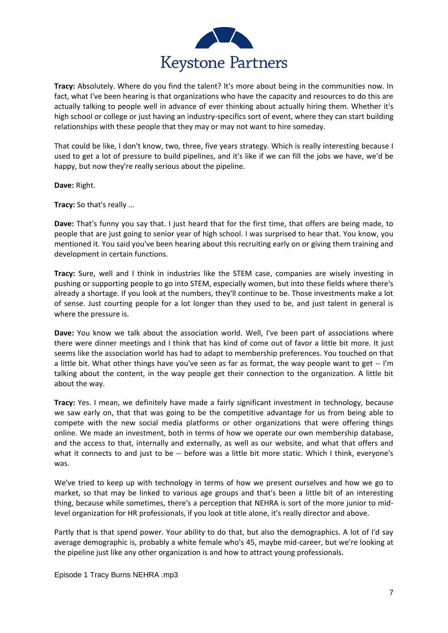

**Tracy:** Absolutely. Where do you find the talent? It's more about being in the communities now. In fact, what I've been hearing is that organizations who have the capacity and resources to do this are actually talking to people well in advance of ever thinking about actually hiring them. Whether it's high school or college or just having an industry-specifics sort of event, where they can start building relationships with these people that they may or may not want to hire someday.

That could be like, I don't know, two, three, five years strategy. Which is really interesting because I used to get a lot of pressure to build pipelines, and it's like if we can fill the jobs we have, we'd be happy, but now they're really serious about the pipeline.

**Dave:** Right.

**Tracy:** So that's really …

**Dave:** That's funny you say that. I just heard that for the first time, that offers are being made, to people that are just going to senior year of high school. I was surprised to hear that. You know, you mentioned it. You said you've been hearing about this recruiting early on or giving them training and development in certain functions.

**Tracy:** Sure, well and I think in industries like the STEM case, companies are wisely investing in pushing or supporting people to go into STEM, especially women, but into these fields where there's already a shortage. If you look at the numbers, they'll continue to be. Those investments make a lot of sense. Just courting people for a lot longer than they used to be, and just talent in general is where the pressure is.

**Dave:** You know we talk about the association world. Well, I've been part of associations where there were dinner meetings and I think that has kind of come out of favor a little bit more. It just seems like the association world has had to adapt to membership preferences. You touched on that a little bit. What other things have you've seen as far as format, the way people want to get -- I'm talking about the content, in the way people get their connection to the organization. A little bit about the way.

**Tracy:** Yes. I mean, we definitely have made a fairly significant investment in technology, because we saw early on, that that was going to be the competitive advantage for us from being able to compete with the new social media platforms or other organizations that were offering things online. We made an investment, both in terms of how we operate our own membership database, and the access to that, internally and externally, as well as our website, and what that offers and what it connects to and just to be -- before was a little bit more static. Which I think, everyone's was.

We've tried to keep up with technology in terms of how we present ourselves and how we go to market, so that may be linked to various age groups and that's been a little bit of an interesting thing, because while sometimes, there's a perception that NEHRA is sort of the more junior to midlevel organization for HR professionals, if you look at title alone, it's really director and above.

Partly that is that spend power. Your ability to do that, but also the demographics. A lot of I'd say average demographic is, probably a white female who's 45, maybe mid-career, but we're looking at the pipeline just like any other organization is and how to attract young professionals.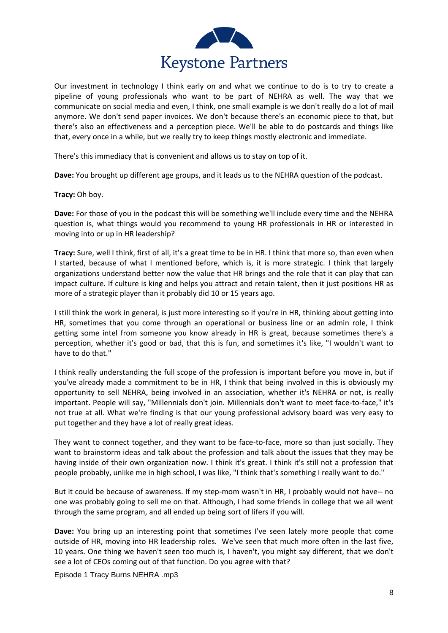

Our investment in technology I think early on and what we continue to do is to try to create a pipeline of young professionals who want to be part of NEHRA as well. The way that we communicate on social media and even, I think, one small example is we don't really do a lot of mail anymore. We don't send paper invoices. We don't because there's an economic piece to that, but there's also an effectiveness and a perception piece. We'll be able to do postcards and things like that, every once in a while, but we really try to keep things mostly electronic and immediate.

There's this immediacy that is convenient and allows us to stay on top of it.

**Dave:** You brought up different age groups, and it leads us to the NEHRA question of the podcast.

## **Tracy:** Oh boy.

**Dave:** For those of you in the podcast this will be something we'll include every time and the NEHRA question is, what things would you recommend to young HR professionals in HR or interested in moving into or up in HR leadership?

**Tracy:** Sure, well I think, first of all, it's a great time to be in HR. I think that more so, than even when I started, because of what I mentioned before, which is, it is more strategic. I think that largely organizations understand better now the value that HR brings and the role that it can play that can impact culture. If culture is king and helps you attract and retain talent, then it just positions HR as more of a strategic player than it probably did 10 or 15 years ago.

I still think the work in general, is just more interesting so if you're in HR, thinking about getting into HR, sometimes that you come through an operational or business line or an admin role, I think getting some intel from someone you know already in HR is great, because sometimes there's a perception, whether it's good or bad, that this is fun, and sometimes it's like, "I wouldn't want to have to do that."

I think really understanding the full scope of the profession is important before you move in, but if you've already made a commitment to be in HR, I think that being involved in this is obviously my opportunity to sell NEHRA, being involved in an association, whether it's NEHRA or not, is really important. People will say, "Millennials don't join. Millennials don't want to meet face-to-face," it's not true at all. What we're finding is that our young professional advisory board was very easy to put together and they have a lot of really great ideas.

They want to connect together, and they want to be face-to-face, more so than just socially. They want to brainstorm ideas and talk about the profession and talk about the issues that they may be having inside of their own organization now. I think it's great. I think it's still not a profession that people probably, unlike me in high school, I was like, "I think that's something I really want to do."

But it could be because of awareness. If my step-mom wasn't in HR, I probably would not have-- no one was probably going to sell me on that. Although, I had some friends in college that we all went through the same program, and all ended up being sort of lifers if you will.

**Dave:** You bring up an interesting point that sometimes I've seen lately more people that come outside of HR, moving into HR leadership roles. We've seen that much more often in the last five, 10 years. One thing we haven't seen too much is, I haven't, you might say different, that we don't see a lot of CEOs coming out of that function. Do you agree with that?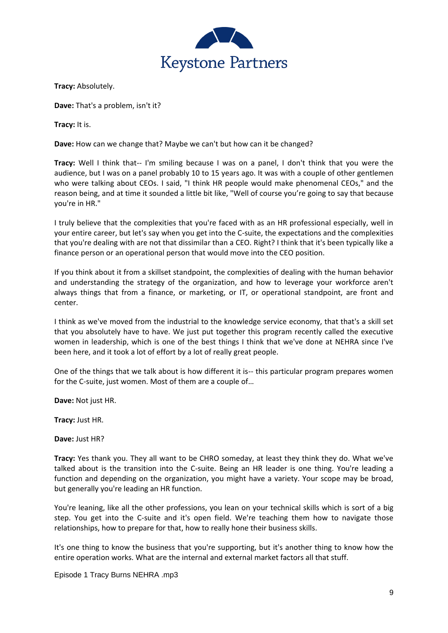

**Tracy:** Absolutely.

**Dave:** That's a problem, isn't it?

**Tracy:** It is.

**Dave:** How can we change that? Maybe we can't but how can it be changed?

**Tracy:** Well I think that-- I'm smiling because I was on a panel, I don't think that you were the audience, but I was on a panel probably 10 to 15 years ago. It was with a couple of other gentlemen who were talking about CEOs. I said, "I think HR people would make phenomenal CEOs," and the reason being, and at time it sounded a little bit like, "Well of course you're going to say that because you're in HR."

I truly believe that the complexities that you're faced with as an HR professional especially, well in your entire career, but let's say when you get into the C-suite, the expectations and the complexities that you're dealing with are not that dissimilar than a CEO. Right? I think that it's been typically like a finance person or an operational person that would move into the CEO position.

If you think about it from a skillset standpoint, the complexities of dealing with the human behavior and understanding the strategy of the organization, and how to leverage your workforce aren't always things that from a finance, or marketing, or IT, or operational standpoint, are front and center.

I think as we've moved from the industrial to the knowledge service economy, that that's a skill set that you absolutely have to have. We just put together this program recently called the executive women in leadership, which is one of the best things I think that we've done at NEHRA since I've been here, and it took a lot of effort by a lot of really great people.

One of the things that we talk about is how different it is-- this particular program prepares women for the C-suite, just women. Most of them are a couple of…

**Dave:** Not just HR.

**Tracy:** Just HR.

**Dave:** Just HR?

**Tracy:** Yes thank you. They all want to be CHRO someday, at least they think they do. What we've talked about is the transition into the C-suite. Being an HR leader is one thing. You're leading a function and depending on the organization, you might have a variety. Your scope may be broad, but generally you're leading an HR function.

You're leaning, like all the other professions, you lean on your technical skills which is sort of a big step. You get into the C-suite and it's open field. We're teaching them how to navigate those relationships, how to prepare for that, how to really hone their business skills.

It's one thing to know the business that you're supporting, but it's another thing to know how the entire operation works. What are the internal and external market factors all that stuff.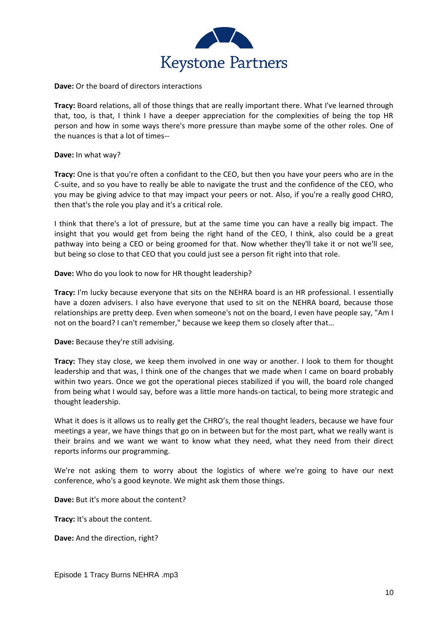

**Dave:** Or the board of directors interactions

**Tracy:** Board relations, all of those things that are really important there. What I've learned through that, too, is that, I think I have a deeper appreciation for the complexities of being the top HR person and how in some ways there's more pressure than maybe some of the other roles. One of the nuances is that a lot of times--

**Dave:** In what way?

**Tracy:** One is that you're often a confidant to the CEO, but then you have your peers who are in the C-suite, and so you have to really be able to navigate the trust and the confidence of the CEO, who you may be giving advice to that may impact your peers or not. Also, if you're a really good CHRO, then that's the role you play and it's a critical role.

I think that there's a lot of pressure, but at the same time you can have a really big impact. The insight that you would get from being the right hand of the CEO, I think, also could be a great pathway into being a CEO or being groomed for that. Now whether they'll take it or not we'll see, but being so close to that CEO that you could just see a person fit right into that role.

**Dave:** Who do you look to now for HR thought leadership?

**Tracy:** I'm lucky because everyone that sits on the NEHRA board is an HR professional. I essentially have a dozen advisers. I also have everyone that used to sit on the NEHRA board, because those relationships are pretty deep. Even when someone's not on the board, I even have people say, "Am I not on the board? I can't remember," because we keep them so closely after that…

**Dave:** Because they're still advising.

**Tracy:** They stay close, we keep them involved in one way or another. I look to them for thought leadership and that was, I think one of the changes that we made when I came on board probably within two years. Once we got the operational pieces stabilized if you will, the board role changed from being what I would say, before was a little more hands-on tactical, to being more strategic and thought leadership.

What it does is it allows us to really get the CHRO's, the real thought leaders, because we have four meetings a year, we have things that go on in between but for the most part, what we really want is their brains and we want we want to know what they need, what they need from their direct reports informs our programming.

We're not asking them to worry about the logistics of where we're going to have our next conference, who's a good keynote. We might ask them those things.

**Dave:** But it's more about the content?

**Tracy:** It's about the content.

**Dave:** And the direction, right?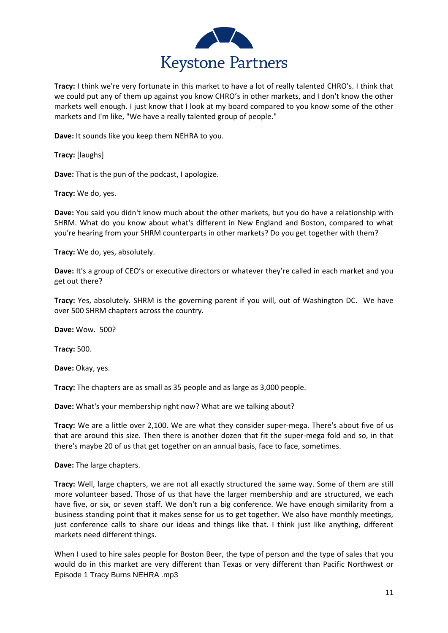

**Tracy:** I think we're very fortunate in this market to have a lot of really talented CHRO's. I think that we could put any of them up against you know CHRO's in other markets, and I don't know the other markets well enough. I just know that I look at my board compared to you know some of the other markets and I'm like, "We have a really talented group of people."

**Dave:** It sounds like you keep them NEHRA to you.

**Tracy:** [laughs]

**Dave:** That is the pun of the podcast, I apologize.

**Tracy:** We do, yes.

**Dave:** You said you didn't know much about the other markets, but you do have a relationship with SHRM. What do you know about what's different in New England and Boston, compared to what you're hearing from your SHRM counterparts in other markets? Do you get together with them?

**Tracy:** We do, yes, absolutely.

**Dave:** It's a group of CEO's or executive directors or whatever they're called in each market and you get out there?

**Tracy:** Yes, absolutely. SHRM is the governing parent if you will, out of Washington DC. We have over 500 SHRM chapters across the country.

**Dave:** Wow. 500?

**Tracy:** 500.

**Dave:** Okay, yes.

**Tracy:** The chapters are as small as 35 people and as large as 3,000 people.

**Dave:** What's your membership right now? What are we talking about?

**Tracy:** We are a little over 2,100. We are what they consider super-mega. There's about five of us that are around this size. Then there is another dozen that fit the super-mega fold and so, in that there's maybe 20 of us that get together on an annual basis, face to face, sometimes.

**Dave:** The large chapters.

**Tracy:** Well, large chapters, we are not all exactly structured the same way. Some of them are still more volunteer based. Those of us that have the larger membership and are structured, we each have five, or six, or seven staff. We don't run a big conference. We have enough similarity from a business standing point that it makes sense for us to get together. We also have monthly meetings, just conference calls to share our ideas and things like that. I think just like anything, different markets need different things.

Episode 1 Tracy Burns NEHRA .mp3 When I used to hire sales people for Boston Beer, the type of person and the type of sales that you would do in this market are very different than Texas or very different than Pacific Northwest or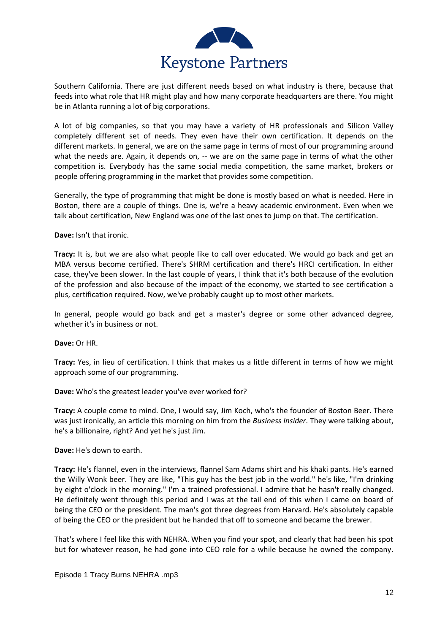

Southern California. There are just different needs based on what industry is there, because that feeds into what role that HR might play and how many corporate headquarters are there. You might be in Atlanta running a lot of big corporations.

A lot of big companies, so that you may have a variety of HR professionals and Silicon Valley completely different set of needs. They even have their own certification. It depends on the different markets. In general, we are on the same page in terms of most of our programming around what the needs are. Again, it depends on, -- we are on the same page in terms of what the other competition is. Everybody has the same social media competition, the same market, brokers or people offering programming in the market that provides some competition.

Generally, the type of programming that might be done is mostly based on what is needed. Here in Boston, there are a couple of things. One is, we're a heavy academic environment. Even when we talk about certification, New England was one of the last ones to jump on that. The certification.

**Dave:** Isn't that ironic.

**Tracy:** It is, but we are also what people like to call over educated. We would go back and get an MBA versus become certified. There's SHRM certification and there's HRCI certification. In either case, they've been slower. In the last couple of years, I think that it's both because of the evolution of the profession and also because of the impact of the economy, we started to see certification a plus, certification required. Now, we've probably caught up to most other markets.

In general, people would go back and get a master's degree or some other advanced degree, whether it's in business or not.

**Dave:** Or HR.

**Tracy:** Yes, in lieu of certification. I think that makes us a little different in terms of how we might approach some of our programming.

**Dave:** Who's the greatest leader you've ever worked for?

**Tracy:** A couple come to mind. One, I would say, Jim Koch, who's the founder of Boston Beer. There was just ironically, an article this morning on him from the *Business Insider*. They were talking about, he's a billionaire, right? And yet he's just Jim.

**Dave:** He's down to earth.

**Tracy:** He's flannel, even in the interviews, flannel Sam Adams shirt and his khaki pants. He's earned the Willy Wonk beer. They are like, "This guy has the best job in the world." he's like, "I'm drinking by eight o'clock in the morning." I'm a trained professional. I admire that he hasn't really changed. He definitely went through this period and I was at the tail end of this when I came on board of being the CEO or the president. The man's got three degrees from Harvard. He's absolutely capable of being the CEO or the president but he handed that off to someone and became the brewer.

That's where I feel like this with NEHRA. When you find your spot, and clearly that had been his spot but for whatever reason, he had gone into CEO role for a while because he owned the company.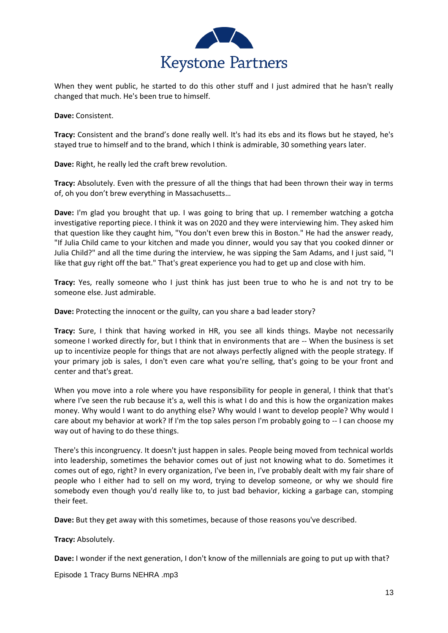

When they went public, he started to do this other stuff and I just admired that he hasn't really changed that much. He's been true to himself.

**Dave:** Consistent.

**Tracy:** Consistent and the brand's done really well. It's had its ebs and its flows but he stayed, he's stayed true to himself and to the brand, which I think is admirable, 30 something years later.

**Dave:** Right, he really led the craft brew revolution.

**Tracy:** Absolutely. Even with the pressure of all the things that had been thrown their way in terms of, oh you don't brew everything in Massachusetts…

**Dave:** I'm glad you brought that up. I was going to bring that up. I remember watching a gotcha investigative reporting piece. I think it was on 2020 and they were interviewing him. They asked him that question like they caught him, "You don't even brew this in Boston." He had the answer ready, "If Julia Child came to your kitchen and made you dinner, would you say that you cooked dinner or Julia Child?" and all the time during the interview, he was sipping the Sam Adams, and I just said, "I like that guy right off the bat." That's great experience you had to get up and close with him.

**Tracy:** Yes, really someone who I just think has just been true to who he is and not try to be someone else. Just admirable.

**Dave:** Protecting the innocent or the guilty, can you share a bad leader story?

**Tracy:** Sure, I think that having worked in HR, you see all kinds things. Maybe not necessarily someone I worked directly for, but I think that in environments that are -- When the business is set up to incentivize people for things that are not always perfectly aligned with the people strategy. If your primary job is sales, I don't even care what you're selling, that's going to be your front and center and that's great.

When you move into a role where you have responsibility for people in general, I think that that's where I've seen the rub because it's a, well this is what I do and this is how the organization makes money. Why would I want to do anything else? Why would I want to develop people? Why would I care about my behavior at work? If I'm the top sales person I'm probably going to -- I can choose my way out of having to do these things.

There's this incongruency. It doesn't just happen in sales. People being moved from technical worlds into leadership, sometimes the behavior comes out of just not knowing what to do. Sometimes it comes out of ego, right? In every organization, I've been in, I've probably dealt with my fair share of people who I either had to sell on my word, trying to develop someone, or why we should fire somebody even though you'd really like to, to just bad behavior, kicking a garbage can, stomping their feet.

**Dave:** But they get away with this sometimes, because of those reasons you've described.

**Tracy:** Absolutely.

**Dave:** I wonder if the next generation, I don't know of the millennials are going to put up with that?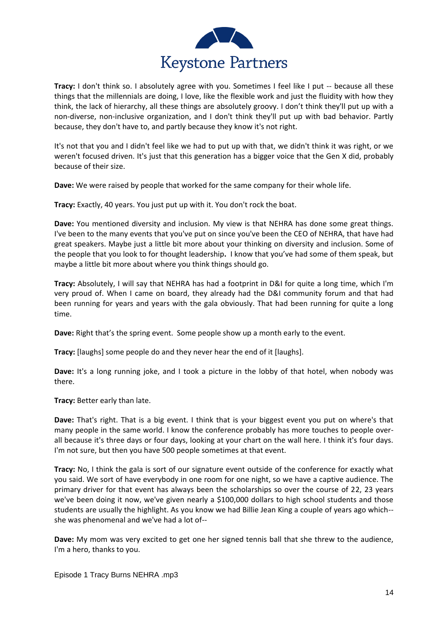

**Tracy:** I don't think so. I absolutely agree with you. Sometimes I feel like I put -- because all these things that the millennials are doing, I love, like the flexible work and just the fluidity with how they think, the lack of hierarchy, all these things are absolutely groovy. I don't think they'll put up with a non-diverse, non-inclusive organization, and I don't think they'll put up with bad behavior. Partly because, they don't have to, and partly because they know it's not right.

It's not that you and I didn't feel like we had to put up with that, we didn't think it was right, or we weren't focused driven. It's just that this generation has a bigger voice that the Gen X did, probably because of their size.

**Dave:** We were raised by people that worked for the same company for their whole life.

**Tracy:** Exactly, 40 years. You just put up with it. You don't rock the boat.

**Dave:** You mentioned diversity and inclusion. My view is that NEHRA has done some great things. I've been to the many events that you've put on since you've been the CEO of NEHRA, that have had great speakers. Maybe just a little bit more about your thinking on diversity and inclusion. Some of the people that you look to for thought leadership**.** I know that you've had some of them speak, but maybe a little bit more about where you think things should go.

**Tracy:** Absolutely, I will say that NEHRA has had a footprint in D&I for quite a long time, which I'm very proud of. When I came on board, they already had the D&I community forum and that had been running for years and years with the gala obviously. That had been running for quite a long time.

**Dave:** Right that's the spring event. Some people show up a month early to the event.

**Tracy:** [laughs] some people do and they never hear the end of it [laughs].

**Dave:** It's a long running joke, and I took a picture in the lobby of that hotel, when nobody was there.

**Tracy:** Better early than late.

**Dave:** That's right. That is a big event. I think that is your biggest event you put on where's that many people in the same world. I know the conference probably has more touches to people overall because it's three days or four days, looking at your chart on the wall here. I think it's four days. I'm not sure, but then you have 500 people sometimes at that event.

**Tracy:** No, I think the gala is sort of our signature event outside of the conference for exactly what you said. We sort of have everybody in one room for one night, so we have a captive audience. The primary driver for that event has always been the scholarships so over the course of 22, 23 years we've been doing it now, we've given nearly a \$100,000 dollars to high school students and those students are usually the highlight. As you know we had Billie Jean King a couple of years ago which- she was phenomenal and we've had a lot of--

**Dave:** My mom was very excited to get one her signed tennis ball that she threw to the audience, I'm a hero, thanks to you.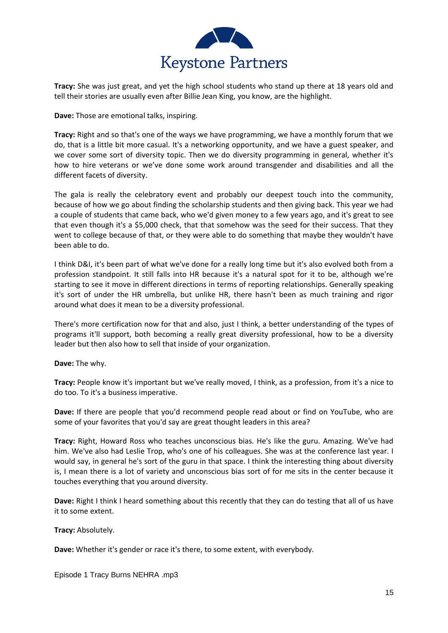

**Tracy:** She was just great, and yet the high school students who stand up there at 18 years old and tell their stories are usually even after Billie Jean King, you know, are the highlight.

**Dave:** Those are emotional talks, inspiring.

**Tracy:** Right and so that's one of the ways we have programming, we have a monthly forum that we do, that is a little bit more casual. It's a networking opportunity, and we have a guest speaker, and we cover some sort of diversity topic. Then we do diversity programming in general, whether it's how to hire veterans or we've done some work around transgender and disabilities and all the different facets of diversity.

The gala is really the celebratory event and probably our deepest touch into the community, because of how we go about finding the scholarship students and then giving back. This year we had a couple of students that came back, who we'd given money to a few years ago, and it's great to see that even though it's a \$5,000 check, that that somehow was the seed for their success. That they went to college because of that, or they were able to do something that maybe they wouldn't have been able to do.

I think D&I, it's been part of what we've done for a really long time but it's also evolved both from a profession standpoint. It still falls into HR because it's a natural spot for it to be, although we're starting to see it move in different directions in terms of reporting relationships. Generally speaking it's sort of under the HR umbrella, but unlike HR, there hasn't been as much training and rigor around what does it mean to be a diversity professional.

There's more certification now for that and also, just I think, a better understanding of the types of programs it'll support, both becoming a really great diversity professional, how to be a diversity leader but then also how to sell that inside of your organization.

**Dave:** The why.

**Tracy:** People know it's important but we've really moved, I think, as a profession, from it's a nice to do too. To it's a business imperative.

**Dave:** If there are people that you'd recommend people read about or find on YouTube, who are some of your favorites that you'd say are great thought leaders in this area?

**Tracy:** Right, Howard Ross who teaches unconscious bias. He's like the guru. Amazing. We've had him. We've also had Leslie Trop, who's one of his colleagues. She was at the conference last year. I would say, in general he's sort of the guru in that space. I think the interesting thing about diversity is, I mean there is a lot of variety and unconscious bias sort of for me sits in the center because it touches everything that you around diversity.

**Dave:** Right I think I heard something about this recently that they can do testing that all of us have it to some extent.

**Tracy:** Absolutely.

**Dave:** Whether it's gender or race it's there, to some extent, with everybody.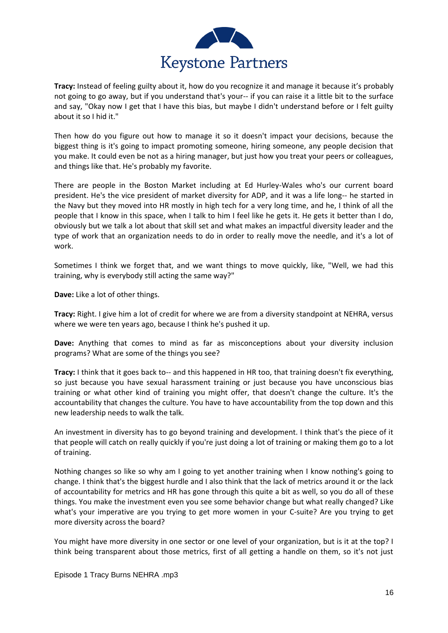

**Tracy:** Instead of feeling guilty about it, how do you recognize it and manage it because it's probably not going to go away, but if you understand that's your-- if you can raise it a little bit to the surface and say, "Okay now I get that I have this bias, but maybe I didn't understand before or I felt guilty about it so I hid it."

Then how do you figure out how to manage it so it doesn't impact your decisions, because the biggest thing is it's going to impact promoting someone, hiring someone, any people decision that you make. It could even be not as a hiring manager, but just how you treat your peers or colleagues, and things like that. He's probably my favorite.

There are people in the Boston Market including at Ed Hurley-Wales who's our current board president. He's the vice president of market diversity for ADP, and it was a life long-- he started in the Navy but they moved into HR mostly in high tech for a very long time, and he, I think of all the people that I know in this space, when I talk to him I feel like he gets it. He gets it better than I do, obviously but we talk a lot about that skill set and what makes an impactful diversity leader and the type of work that an organization needs to do in order to really move the needle, and it's a lot of work.

Sometimes I think we forget that, and we want things to move quickly, like, "Well, we had this training, why is everybody still acting the same way?"

**Dave:** Like a lot of other things.

**Tracy:** Right. I give him a lot of credit for where we are from a diversity standpoint at NEHRA, versus where we were ten years ago, because I think he's pushed it up.

**Dave:** Anything that comes to mind as far as misconceptions about your diversity inclusion programs? What are some of the things you see?

**Tracy:** I think that it goes back to-- and this happened in HR too, that training doesn't fix everything, so just because you have sexual harassment training or just because you have unconscious bias training or what other kind of training you might offer, that doesn't change the culture. It's the accountability that changes the culture. You have to have accountability from the top down and this new leadership needs to walk the talk.

An investment in diversity has to go beyond training and development. I think that's the piece of it that people will catch on really quickly if you're just doing a lot of training or making them go to a lot of training.

Nothing changes so like so why am I going to yet another training when I know nothing's going to change. I think that's the biggest hurdle and I also think that the lack of metrics around it or the lack of accountability for metrics and HR has gone through this quite a bit as well, so you do all of these things. You make the investment even you see some behavior change but what really changed? Like what's your imperative are you trying to get more women in your C-suite? Are you trying to get more diversity across the board?

You might have more diversity in one sector or one level of your organization, but is it at the top? I think being transparent about those metrics, first of all getting a handle on them, so it's not just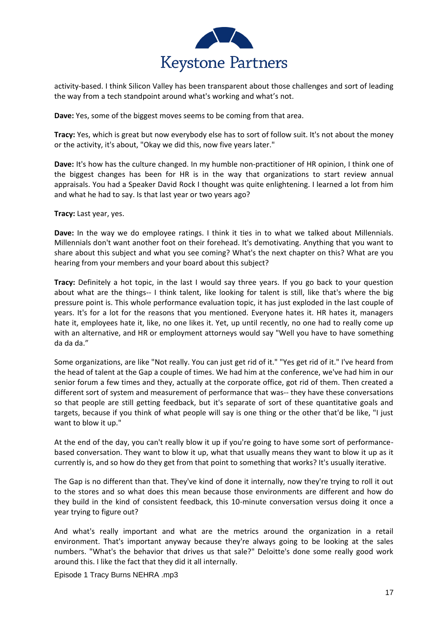

activity-based. I think Silicon Valley has been transparent about those challenges and sort of leading the way from a tech standpoint around what's working and what's not.

**Dave:** Yes, some of the biggest moves seems to be coming from that area.

**Tracy:** Yes, which is great but now everybody else has to sort of follow suit. It's not about the money or the activity, it's about, "Okay we did this, now five years later."

**Dave:** It's how has the culture changed. In my humble non-practitioner of HR opinion, I think one of the biggest changes has been for HR is in the way that organizations to start review annual appraisals. You had a Speaker David Rock I thought was quite enlightening. I learned a lot from him and what he had to say. Is that last year or two years ago?

**Tracy:** Last year, yes.

**Dave:** In the way we do employee ratings. I think it ties in to what we talked about Millennials. Millennials don't want another foot on their forehead. It's demotivating. Anything that you want to share about this subject and what you see coming? What's the next chapter on this? What are you hearing from your members and your board about this subject?

**Tracy:** Definitely a hot topic, in the last I would say three years. If you go back to your question about what are the things-- I think talent, like looking for talent is still, like that's where the big pressure point is. This whole performance evaluation topic, it has just exploded in the last couple of years. It's for a lot for the reasons that you mentioned. Everyone hates it. HR hates it, managers hate it, employees hate it, like, no one likes it. Yet, up until recently, no one had to really come up with an alternative, and HR or employment attorneys would say "Well you have to have something da da da."

Some organizations, are like "Not really. You can just get rid of it." "Yes get rid of it." I've heard from the head of talent at the Gap a couple of times. We had him at the conference, we've had him in our senior forum a few times and they, actually at the corporate office, got rid of them. Then created a different sort of system and measurement of performance that was-- they have these conversations so that people are still getting feedback, but it's separate of sort of these quantitative goals and targets, because if you think of what people will say is one thing or the other that'd be like, "I just want to blow it up."

At the end of the day, you can't really blow it up if you're going to have some sort of performancebased conversation. They want to blow it up, what that usually means they want to blow it up as it currently is, and so how do they get from that point to something that works? It's usually iterative.

The Gap is no different than that. They've kind of done it internally, now they're trying to roll it out to the stores and so what does this mean because those environments are different and how do they build in the kind of consistent feedback, this 10-minute conversation versus doing it once a year trying to figure out?

And what's really important and what are the metrics around the organization in a retail environment. That's important anyway because they're always going to be looking at the sales numbers. "What's the behavior that drives us that sale?" Deloitte's done some really good work around this. I like the fact that they did it all internally.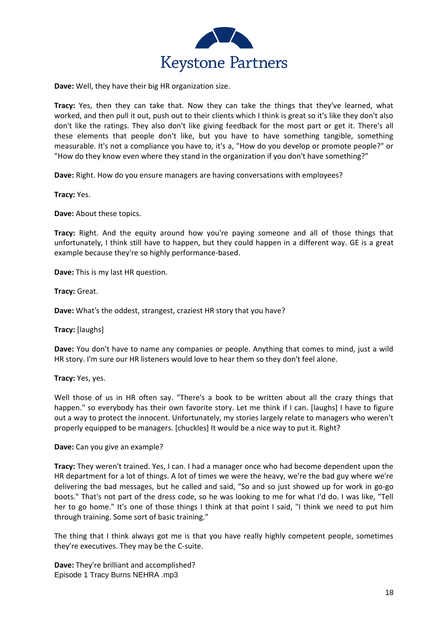

**Dave:** Well, they have their big HR organization size.

**Tracy:** Yes, then they can take that. Now they can take the things that they've learned, what worked, and then pull it out, push out to their clients which I think is great so it's like they don't also don't like the ratings. They also don't like giving feedback for the most part or get it. There's all these elements that people don't like, but you have to have something tangible, something measurable. It's not a compliance you have to, it's a, "How do you develop or promote people?" or "How do they know even where they stand in the organization if you don't have something?"

**Dave:** Right. How do you ensure managers are having conversations with employees?

**Tracy:** Yes.

**Dave:** About these topics.

**Tracy:** Right. And the equity around how you're paying someone and all of those things that unfortunately, I think still have to happen, but they could happen in a different way. GE is a great example because they're so highly performance-based.

**Dave:** This is my last HR question.

**Tracy:** Great.

**Dave:** What's the oddest, strangest, craziest HR story that you have?

**Tracy:** [laughs]

**Dave:** You don't have to name any companies or people. Anything that comes to mind, just a wild HR story. I'm sure our HR listeners would love to hear them so they don't feel alone.

**Tracy:** Yes, yes.

Well those of us in HR often say. "There's a book to be written about all the crazy things that happen." so everybody has their own favorite story. Let me think if I can. [laughs] I have to figure out a way to protect the innocent. Unfortunately, my stories largely relate to managers who weren't properly equipped to be managers. [chuckles] It would be a nice way to put it. Right?

**Dave:** Can you give an example?

**Tracy:** They weren't trained. Yes, I can. I had a manager once who had become dependent upon the HR department for a lot of things. A lot of times we were the heavy, we're the bad guy where we're delivering the bad messages, but he called and said, "So and so just showed up for work in go-go boots." That's not part of the dress code, so he was looking to me for what I'd do. I was like, "Tell her to go home." It's one of those things I think at that point I said, "I think we need to put him through training. Some sort of basic training."

The thing that I think always got me is that you have really highly competent people, sometimes they're executives. They may be the C-suite.

Episode 1 Tracy Burns NEHRA .mp3 **Dave:** They're brilliant and accomplished?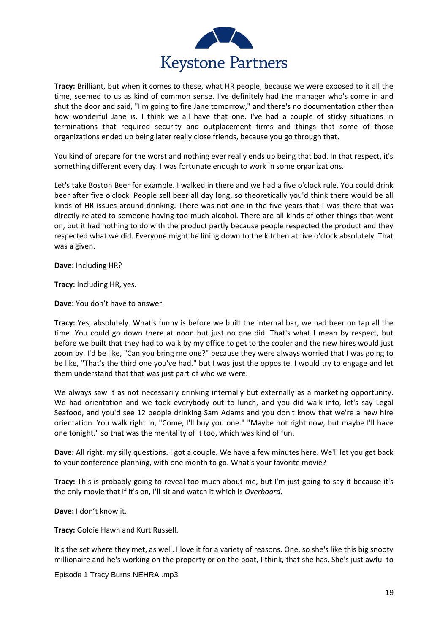

**Tracy:** Brilliant, but when it comes to these, what HR people, because we were exposed to it all the time, seemed to us as kind of common sense. I've definitely had the manager who's come in and shut the door and said, "I'm going to fire Jane tomorrow," and there's no documentation other than how wonderful Jane is. I think we all have that one. I've had a couple of sticky situations in terminations that required security and outplacement firms and things that some of those organizations ended up being later really close friends, because you go through that.

You kind of prepare for the worst and nothing ever really ends up being that bad. In that respect, it's something different every day. I was fortunate enough to work in some organizations.

Let's take Boston Beer for example. I walked in there and we had a five o'clock rule. You could drink beer after five o'clock. People sell beer all day long, so theoretically you'd think there would be all kinds of HR issues around drinking. There was not one in the five years that I was there that was directly related to someone having too much alcohol. There are all kinds of other things that went on, but it had nothing to do with the product partly because people respected the product and they respected what we did. Everyone might be lining down to the kitchen at five o'clock absolutely. That was a given.

**Dave:** Including HR?

**Tracy:** Including HR, yes.

**Dave:** You don't have to answer.

**Tracy:** Yes, absolutely. What's funny is before we built the internal bar, we had beer on tap all the time. You could go down there at noon but just no one did. That's what I mean by respect, but before we built that they had to walk by my office to get to the cooler and the new hires would just zoom by. I'd be like, "Can you bring me one?" because they were always worried that I was going to be like, "That's the third one you've had." but I was just the opposite. I would try to engage and let them understand that that was just part of who we were.

We always saw it as not necessarily drinking internally but externally as a marketing opportunity. We had orientation and we took everybody out to lunch, and you did walk into, let's say Legal Seafood, and you'd see 12 people drinking Sam Adams and you don't know that we're a new hire orientation. You walk right in, "Come, I'll buy you one." "Maybe not right now, but maybe I'll have one tonight." so that was the mentality of it too, which was kind of fun.

**Dave:** All right, my silly questions. I got a couple. We have a few minutes here. We'll let you get back to your conference planning, with one month to go. What's your favorite movie?

**Tracy:** This is probably going to reveal too much about me, but I'm just going to say it because it's the only movie that if it's on, I'll sit and watch it which is *Overboard*.

**Dave:** I don't know it.

**Tracy:** Goldie Hawn and Kurt Russell.

It's the set where they met, as well. I love it for a variety of reasons. One, so she's like this big snooty millionaire and he's working on the property or on the boat, I think, that she has. She's just awful to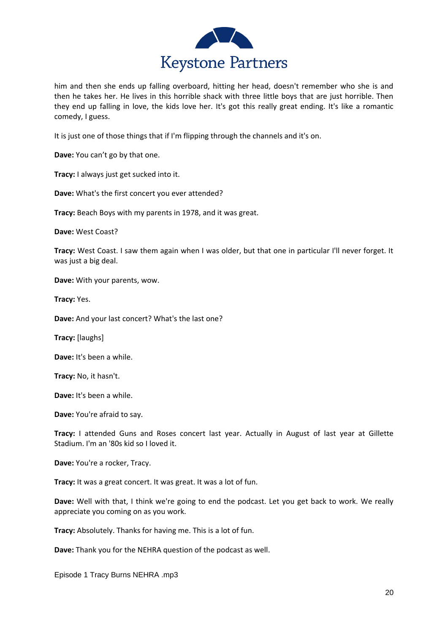

him and then she ends up falling overboard, hitting her head, doesn't remember who she is and then he takes her. He lives in this horrible shack with three little boys that are just horrible. Then they end up falling in love, the kids love her. It's got this really great ending. It's like a romantic comedy, I guess.

It is just one of those things that if I'm flipping through the channels and it's on.

**Dave:** You can't go by that one.

**Tracy:** I always just get sucked into it.

**Dave:** What's the first concert you ever attended?

**Tracy:** Beach Boys with my parents in 1978, and it was great.

**Dave:** West Coast?

**Tracy:** West Coast. I saw them again when I was older, but that one in particular I'll never forget. It was just a big deal.

**Dave:** With your parents, wow.

**Tracy:** Yes.

**Dave:** And your last concert? What's the last one?

**Tracy:** [laughs]

**Dave:** It's been a while.

**Tracy:** No, it hasn't.

**Dave:** It's been a while.

**Dave:** You're afraid to say.

**Tracy:** I attended Guns and Roses concert last year. Actually in August of last year at Gillette Stadium. I'm an '80s kid so I loved it.

**Dave:** You're a rocker, Tracy.

**Tracy:** It was a great concert. It was great. It was a lot of fun.

**Dave:** Well with that, I think we're going to end the podcast. Let you get back to work. We really appreciate you coming on as you work.

**Tracy:** Absolutely. Thanks for having me. This is a lot of fun.

**Dave:** Thank you for the NEHRA question of the podcast as well.